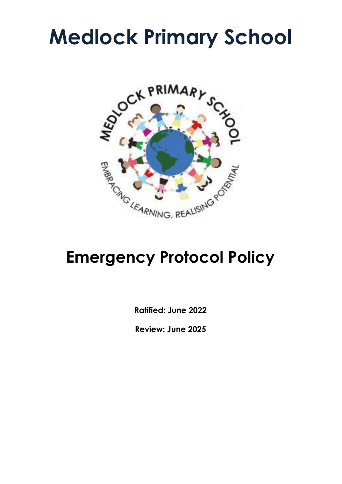# **Medlock Primary School**



# **Emergency Protocol Policy**

**Ratified: June 2022**

**Review: June 2025**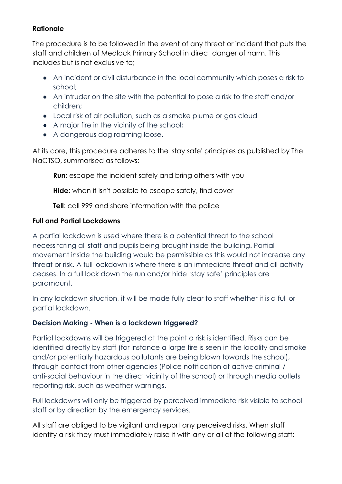#### **Rationale**

The procedure is to be followed in the event of any threat or incident that puts the staff and children of Medlock Primary School in direct danger of harm. This includes but is not exclusive to;

- An incident or civil disturbance in the local community which poses a risk to school;
- An intruder on the site with the potential to pose a risk to the staff and/or children;
- Local risk of air pollution, such as a smoke plume or gas cloud
- A major fire in the vicinity of the school;
- A dangerous dog roaming loose.

At its core, this procedure adheres to the 'stay safe' principles as published by The NaCTSO, summarised as follows;

**Run**: escape the incident safely and bring others with you

**Hide**: when it isn't possible to escape safely, find cover

**Tell:** call 999 and share information with the police

### **Full and Partial Lockdowns**

A partial lockdown is used where there is a potential threat to the school necessitating all staff and pupils being brought inside the building. Partial movement inside the building would be permissible as this would not increase any threat or risk. A full lockdown is where there is an immediate threat and all activity ceases. In a full lock down the run and/or hide 'stay safe' principles are paramount.

In any lockdown situation, it will be made fully clear to staff whether it is a full or partial lockdown.

## **Decision Making - When is a lockdown triggered?**

Partial lockdowns will be triggered at the point a risk is identified. Risks can be identified directly by staff (for instance a large fire is seen in the locality and smoke and/or potentially hazardous pollutants are being blown towards the school), through contact from other agencies (Police notification of active criminal / anti-social behaviour in the direct vicinity of the school) or through media outlets reporting risk, such as weather warnings.

Full lockdowns will only be triggered by perceived immediate risk visible to school staff or by direction by the emergency services.

All staff are obliged to be vigilant and report any perceived risks. When staff identify a risk they must immediately raise it with any or all of the following staff: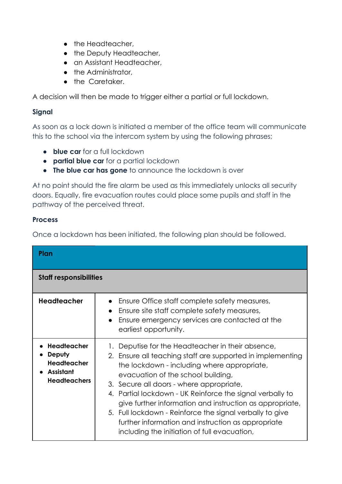- the Headteacher,
- the Deputy Headteacher,
- an Assistant Headteacher,
- the Administrator,
- the Caretaker.

A decision will then be made to trigger either a partial or full lockdown.

#### **Signal**

As soon as a lock down is initiated a member of the office team will communicate this to the school via the intercom system by using the following phrases;

- **blue car** for a full lockdown
- **partial blue car** for a partial lockdown
- **The blue car has gone** to announce the lockdown is over

At no point should the fire alarm be used as this immediately unlocks all security doors. Equally, fire evacuation routes could place some pupils and staff in the pathway of the perceived threat.

#### **Process**

Once a lockdown has been initiated, the following plan should be followed.

| Plan                                                                                   |                                                                                                                                                                                                                                                                                                                                                                                                                                                                                                                                             |  |  |  |  |
|----------------------------------------------------------------------------------------|---------------------------------------------------------------------------------------------------------------------------------------------------------------------------------------------------------------------------------------------------------------------------------------------------------------------------------------------------------------------------------------------------------------------------------------------------------------------------------------------------------------------------------------------|--|--|--|--|
| <b>Staff responsibilities</b>                                                          |                                                                                                                                                                                                                                                                                                                                                                                                                                                                                                                                             |  |  |  |  |
| <b>Headteacher</b>                                                                     | Ensure Office staff complete safety measures,<br>Ensure site staff complete safety measures,<br>Ensure emergency services are contacted at the<br>earliest opportunity.                                                                                                                                                                                                                                                                                                                                                                     |  |  |  |  |
| Headteacher<br>Deputy<br><b>Headteacher</b><br><b>Assistant</b><br><b>Headteachers</b> | 1. Deputise for the Headteacher in their absence,<br>2. Ensure all teaching staff are supported in implementing<br>the lockdown - including where appropriate,<br>evacuation of the school building,<br>3. Secure all doors - where appropriate,<br>4. Partial lockdown - UK Reinforce the signal verbally to<br>give further information and instruction as appropriate,<br>5. Full lockdown - Reinforce the signal verbally to give<br>further information and instruction as appropriate<br>including the initiation of full evacuation, |  |  |  |  |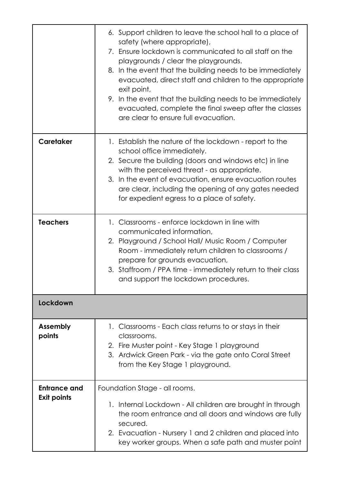|                                    | 6. Support children to leave the school hall to a place of<br>safety (where appropriate),<br>7. Ensure lockdown is communicated to all staff on the<br>playgrounds / clear the playgrounds.<br>8. In the event that the building needs to be immediately<br>evacuated, direct staff and children to the appropriate<br>exit point,<br>9. In the event that the building needs to be immediately<br>evacuated, complete the final sweep after the classes<br>are clear to ensure full evacuation. |
|------------------------------------|--------------------------------------------------------------------------------------------------------------------------------------------------------------------------------------------------------------------------------------------------------------------------------------------------------------------------------------------------------------------------------------------------------------------------------------------------------------------------------------------------|
| <b>Caretaker</b>                   | 1. Establish the nature of the lockdown - report to the<br>school office immediately.<br>2. Secure the building (doors and windows etc) in line<br>with the perceived threat - as appropriate.<br>3. In the event of evacuation, ensure evacuation routes<br>are clear, including the opening of any gates needed<br>for expedient egress to a place of safety.                                                                                                                                  |
| <b>Teachers</b>                    | 1. Classrooms - enforce lockdown in line with<br>communicated information,<br>2. Playground / School Hall/ Music Room / Computer<br>Room - immediately return children to classrooms /<br>prepare for grounds evacuation,<br>3. Staffroom / PPA time - immediately return to their class<br>and support the lockdown procedures.                                                                                                                                                                 |
| <b>Lockdown</b>                    |                                                                                                                                                                                                                                                                                                                                                                                                                                                                                                  |
| <b>Assembly</b><br>points          | 1. Classrooms - Each class returns to or stays in their<br>classrooms.<br>2. Fire Muster point - Key Stage 1 playground<br>3. Ardwick Green Park - via the gate onto Coral Street<br>from the Key Stage 1 playground.                                                                                                                                                                                                                                                                            |
| Entrance and<br><b>Exit points</b> | Foundation Stage - all rooms.<br>1. Internal Lockdown - All children are brought in through<br>the room entrance and all doors and windows are fully<br>secured.<br>2. Evacuation - Nursery 1 and 2 children and placed into<br>key worker groups. When a safe path and muster point                                                                                                                                                                                                             |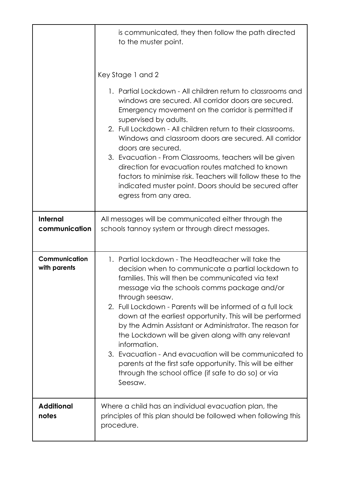|                               | is communicated, they then follow the path directed<br>to the muster point.                                                                                                                                                                                                                                                                                                                                                                                                                                                                                                                                                                                                            |  |  |  |  |
|-------------------------------|----------------------------------------------------------------------------------------------------------------------------------------------------------------------------------------------------------------------------------------------------------------------------------------------------------------------------------------------------------------------------------------------------------------------------------------------------------------------------------------------------------------------------------------------------------------------------------------------------------------------------------------------------------------------------------------|--|--|--|--|
|                               | Key Stage 1 and 2                                                                                                                                                                                                                                                                                                                                                                                                                                                                                                                                                                                                                                                                      |  |  |  |  |
|                               | 1. Partial Lockdown - All children return to classrooms and<br>windows are secured. All corridor doors are secured.<br>Emergency movement on the corridor is permitted if<br>supervised by adults.<br>2. Full Lockdown - All children return to their classrooms.<br>Windows and classroom doors are secured. All corridor<br>doors are secured.<br>3. Evacuation - From Classrooms, teachers will be given<br>direction for evacuation routes matched to known<br>factors to minimise risk. Teachers will follow these to the<br>indicated muster point. Doors should be secured after<br>egress from any area.                                                                       |  |  |  |  |
| Internal<br>communication     | All messages will be communicated either through the<br>schools tannoy system or through direct messages.                                                                                                                                                                                                                                                                                                                                                                                                                                                                                                                                                                              |  |  |  |  |
| Communication<br>with parents | 1. Partial lockdown - The Headteacher will take the<br>decision when to communicate a partial lockdown to<br>families. This will then be communicated via text<br>message via the schools comms package and/or<br>through seesaw.<br>2. Full Lockdown - Parents will be informed of a full lock<br>down at the earliest opportunity. This will be performed<br>by the Admin Assistant or Administrator. The reason for<br>the Lockdown will be given along with any relevant<br>information.<br>3. Evacuation - And evacuation will be communicated to<br>parents at the first safe opportunity. This will be either<br>through the school office (if safe to do so) or via<br>Seesaw. |  |  |  |  |
| <b>Additional</b><br>notes    | Where a child has an individual evacuation plan, the<br>principles of this plan should be followed when following this<br>procedure.                                                                                                                                                                                                                                                                                                                                                                                                                                                                                                                                                   |  |  |  |  |